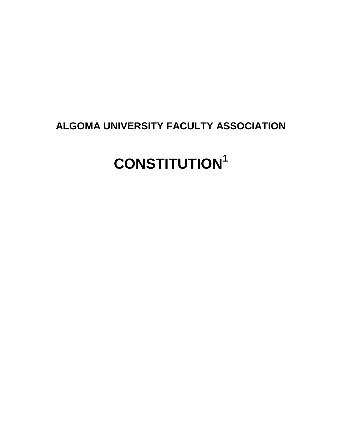# **ALGOMA UNIVERSITY FACULTY ASSOCIATION**

# **CONSTITUTION<sup>1</sup>**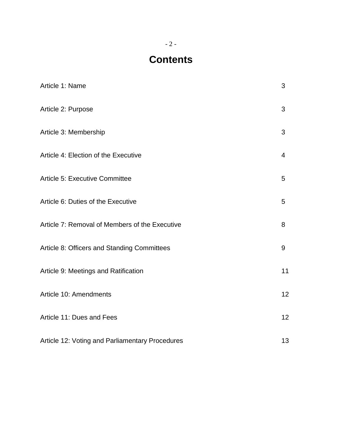# **Contents**

| Article 1: Name                                 | 3              |
|-------------------------------------------------|----------------|
| Article 2: Purpose                              | 3              |
| Article 3: Membership                           | 3              |
| Article 4: Election of the Executive            | $\overline{4}$ |
| Article 5: Executive Committee                  | 5              |
| Article 6: Duties of the Executive              | 5              |
| Article 7: Removal of Members of the Executive  | 8              |
| Article 8: Officers and Standing Committees     | 9              |
| Article 9: Meetings and Ratification            | 11             |
| Article 10: Amendments                          | 12             |
| Article 11: Dues and Fees                       | 12             |
| Article 12: Voting and Parliamentary Procedures | 13             |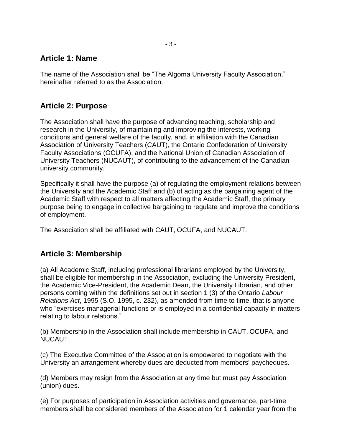### **Article 1: Name**

The name of the Association shall be "The Algoma University Faculty Association," hereinafter referred to as the Association.

## **Article 2: Purpose**

The Association shall have the purpose of advancing teaching, scholarship and research in the University, of maintaining and improving the interests, working conditions and general welfare of the faculty, and, in affiliation with the Canadian Association of University Teachers (CAUT), the Ontario Confederation of University Faculty Associations (OCUFA), and the National Union of Canadian Association of University Teachers (NUCAUT), of contributing to the advancement of the Canadian university community.

Specifically it shall have the purpose (a) of regulating the employment relations between the University and the Academic Staff and (b) of acting as the bargaining agent of the Academic Staff with respect to all matters affecting the Academic Staff, the primary purpose being to engage in collective bargaining to regulate and improve the conditions of employment.

The Association shall be affiliated with CAUT, OCUFA, and NUCAUT.

### **Article 3: Membership**

(a) All Academic Staff, including professional librarians employed by the University, shall be eligible for membership in the Association, excluding the University President, the Academic Vice-President, the Academic Dean, the University Librarian, and other persons coming within the definitions set out in section 1 (3) of the Ontario *Labour Relations Act*, 1995 (S.O. 1995, c. 232), as amended from time to time, that is anyone who "exercises managerial functions or is employed in a confidential capacity in matters relating to labour relations."

(b) Membership in the Association shall include membership in CAUT, OCUFA, and NUCAUT.

(c) The Executive Committee of the Association is empowered to negotiate with the University an arrangement whereby dues are deducted from members' paycheques.

(d) Members may resign from the Association at any time but must pay Association (union) dues.

(e) For purposes of participation in Association activities and governance, part-time members shall be considered members of the Association for 1 calendar year from the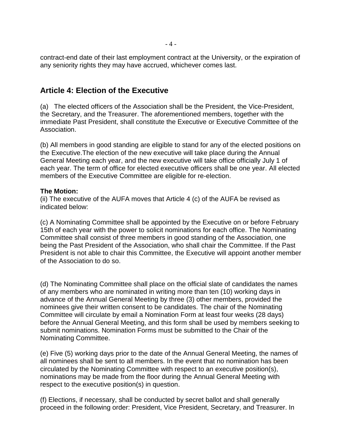contract-end date of their last employment contract at the University, or the expiration of any seniority rights they may have accrued, whichever comes last.

#### **Article 4: Election of the Executive**

(a) The elected officers of the Association shall be the President, the Vice-President, the Secretary, and the Treasurer. The aforementioned members, together with the immediate Past President, shall constitute the Executive or Executive Committee of the Association.

(b) All members in good standing are eligible to stand for any of the elected positions on the Executive.The election of the new executive will take place during the Annual General Meeting each year, and the new executive will take office officially July 1 of each year. The term of office for elected executive officers shall be one year. All elected members of the Executive Committee are eligible for re-election.

#### **The Motion:**

(ii) The executive of the AUFA moves that Article 4 (c) of the AUFA be revised as indicated below:

(c) A Nominating Committee shall be appointed by the Executive on or before February 15th of each year with the power to solicit nominations for each office. The Nominating Committee shall consist of three members in good standing of the Association, one being the Past President of the Association, who shall chair the Committee. If the Past President is not able to chair this Committee, the Executive will appoint another member of the Association to do so.

(d) The Nominating Committee shall place on the official slate of candidates the names of any members who are nominated in writing more than ten (10) working days in advance of the Annual General Meeting by three (3) other members, provided the nominees give their written consent to be candidates. The chair of the Nominating Committee will circulate by email a Nomination Form at least four weeks (28 days) before the Annual General Meeting, and this form shall be used by members seeking to submit nominations. Nomination Forms must be submitted to the Chair of the Nominating Committee.

(e) Five (5) working days prior to the date of the Annual General Meeting, the names of all nominees shall be sent to all members. In the event that no nomination has been circulated by the Nominating Committee with respect to an executive position(s), nominations may be made from the floor during the Annual General Meeting with respect to the executive position(s) in question.

(f) Elections, if necessary, shall be conducted by secret ballot and shall generally proceed in the following order: President, Vice President, Secretary, and Treasurer. In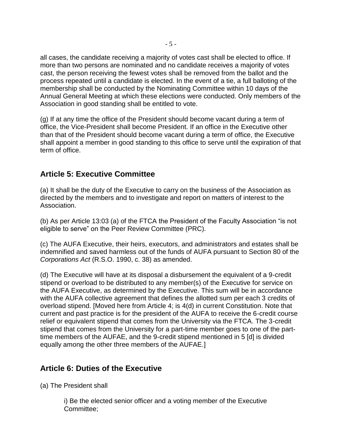all cases, the candidate receiving a majority of votes cast shall be elected to office. If more than two persons are nominated and no candidate receives a majority of votes cast, the person receiving the fewest votes shall be removed from the ballot and the process repeated until a candidate is elected. In the event of a tie, a full balloting of the membership shall be conducted by the Nominating Committee within 10 days of the Annual General Meeting at which these elections were conducted. Only members of the Association in good standing shall be entitled to vote.

(g) If at any time the office of the President should become vacant during a term of office, the Vice-President shall become President. If an office in the Executive other than that of the President should become vacant during a term of office, the Executive shall appoint a member in good standing to this office to serve until the expiration of that term of office.

## **Article 5: Executive Committee**

(a) It shall be the duty of the Executive to carry on the business of the Association as directed by the members and to investigate and report on matters of interest to the Association.

(b) As per Article 13:03 (a) of the FTCA the President of the Faculty Association "is not eligible to serve" on the Peer Review Committee (PRC).

(c) The AUFA Executive, their heirs, executors, and administrators and estates shall be indemnified and saved harmless out of the funds of AUFA pursuant to Section 80 of the *Corporations Act* (R.S.O. 1990, c. 38) as amended.

(d) The Executive will have at its disposal a disbursement the equivalent of a 9-credit stipend or overload to be distributed to any member(s) of the Executive for service on the AUFA Executive, as determined by the Executive. This sum will be in accordance with the AUFA collective agreement that defines the allotted sum per each 3 credits of overload stipend. [Moved here from Article 4; is 4(d) in current Constitution. Note that current and past practice is for the president of the AUFA to receive the 6-credit course relief or equivalent stipend that comes from the University via the FTCA. The 3-credit stipend that comes from the University for a part-time member goes to one of the parttime members of the AUFAE, and the 9-credit stipend mentioned in 5 [d] is divided equally among the other three members of the AUFAE.]

### **Article 6: Duties of the Executive**

(a) The President shall

i) Be the elected senior officer and a voting member of the Executive Committee;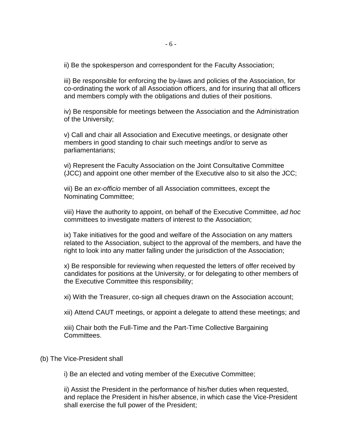ii) Be the spokesperson and correspondent for the Faculty Association;

iii) Be responsible for enforcing the by-laws and policies of the Association, for co-ordinating the work of all Association officers, and for insuring that all officers and members comply with the obligations and duties of their positions.

iv) Be responsible for meetings between the Association and the Administration of the University;

v) Call and chair all Association and Executive meetings, or designate other members in good standing to chair such meetings and/or to serve as parliamentarians;

vi) Represent the Faculty Association on the Joint Consultative Committee (JCC) and appoint one other member of the Executive also to sit also the JCC;

vii) Be an *ex-officio* member of all Association committees, except the Nominating Committee;

viii) Have the authority to appoint, on behalf of the Executive Committee, *ad hoc* committees to investigate matters of interest to the Association;

ix) Take initiatives for the good and welfare of the Association on any matters related to the Association, subject to the approval of the members, and have the right to look into any matter falling under the jurisdiction of the Association;

x) Be responsible for reviewing when requested the letters of offer received by candidates for positions at the University, or for delegating to other members of the Executive Committee this responsibility;

xi) With the Treasurer, co-sign all cheques drawn on the Association account;

xii) Attend CAUT meetings, or appoint a delegate to attend these meetings; and

xiii) Chair both the Full-Time and the Part-Time Collective Bargaining Committees.

#### (b) The Vice-President shall

i) Be an elected and voting member of the Executive Committee;

ii) Assist the President in the performance of his/her duties when requested, and replace the President in his/her absence, in which case the Vice-President shall exercise the full power of the President;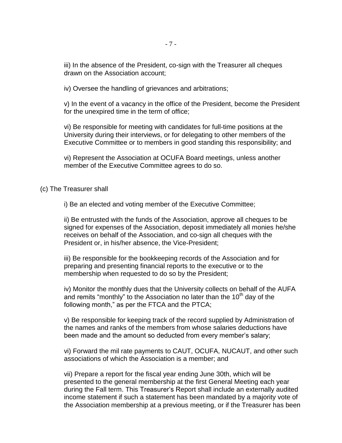iii) In the absence of the President, co-sign with the Treasurer all cheques drawn on the Association account;

iv) Oversee the handling of grievances and arbitrations;

v) In the event of a vacancy in the office of the President, become the President for the unexpired time in the term of office;

vi) Be responsible for meeting with candidates for full-time positions at the University during their interviews, or for delegating to other members of the Executive Committee or to members in good standing this responsibility; and

vi) Represent the Association at OCUFA Board meetings, unless another member of the Executive Committee agrees to do so.

(c) The Treasurer shall

i) Be an elected and voting member of the Executive Committee;

ii) Be entrusted with the funds of the Association, approve all cheques to be signed for expenses of the Association, deposit immediately all monies he/she receives on behalf of the Association, and co-sign all cheques with the President or, in his/her absence, the Vice-President;

iii) Be responsible for the bookkeeping records of the Association and for preparing and presenting financial reports to the executive or to the membership when requested to do so by the President;

iv) Monitor the monthly dues that the University collects on behalf of the AUFA and remits "monthly" to the Association no later than the  $10<sup>th</sup>$  day of the following month," as per the FTCA and the PTCA;

v) Be responsible for keeping track of the record supplied by Administration of the names and ranks of the members from whose salaries deductions have been made and the amount so deducted from every member's salary;

vi) Forward the mil rate payments to CAUT, OCUFA, NUCAUT, and other such associations of which the Association is a member; and

vii) Prepare a report for the fiscal year ending June 30th, which will be presented to the general membership at the first General Meeting each year during the Fall term. This Treasurer's Report shall include an externally audited income statement if such a statement has been mandated by a majority vote of the Association membership at a previous meeting, or if the Treasurer has been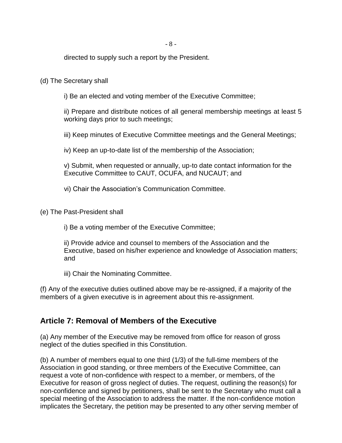directed to supply such a report by the President.

#### (d) The Secretary shall

i) Be an elected and voting member of the Executive Committee;

ii) Prepare and distribute notices of all general membership meetings at least 5 working days prior to such meetings;

iii) Keep minutes of Executive Committee meetings and the General Meetings;

iv) Keep an up-to-date list of the membership of the Association;

v) Submit, when requested or annually, up-to date contact information for the Executive Committee to CAUT, OCUFA, and NUCAUT; and

vi) Chair the Association's Communication Committee.

(e) The Past-President shall

i) Be a voting member of the Executive Committee;

ii) Provide advice and counsel to members of the Association and the Executive, based on his/her experience and knowledge of Association matters; and

iii) Chair the Nominating Committee.

(f) Any of the executive duties outlined above may be re-assigned, if a majority of the members of a given executive is in agreement about this re-assignment.

#### **Article 7: Removal of Members of the Executive**

(a) Any member of the Executive may be removed from office for reason of gross neglect of the duties specified in this Constitution.

(b) A number of members equal to one third (1/3) of the full-time members of the Association in good standing, or three members of the Executive Committee, can request a vote of non-confidence with respect to a member, or members, of the Executive for reason of gross neglect of duties. The request, outlining the reason(s) for non-confidence and signed by petitioners, shall be sent to the Secretary who must call a special meeting of the Association to address the matter. If the non-confidence motion implicates the Secretary, the petition may be presented to any other serving member of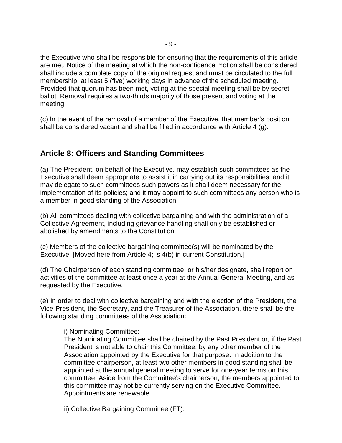the Executive who shall be responsible for ensuring that the requirements of this article are met. Notice of the meeting at which the non-confidence motion shall be considered shall include a complete copy of the original request and must be circulated to the full membership, at least 5 (five) working days in advance of the scheduled meeting. Provided that quorum has been met, voting at the special meeting shall be by secret ballot. Removal requires a two-thirds majority of those present and voting at the meeting.

(c) In the event of the removal of a member of the Executive, that member's position shall be considered vacant and shall be filled in accordance with Article 4 (g).

### **Article 8: Officers and Standing Committees**

(a) The President, on behalf of the Executive, may establish such committees as the Executive shall deem appropriate to assist it in carrying out its responsibilities; and it may delegate to such committees such powers as it shall deem necessary for the implementation of its policies; and it may appoint to such committees any person who is a member in good standing of the Association.

(b) All committees dealing with collective bargaining and with the administration of a Collective Agreement, including grievance handling shall only be established or abolished by amendments to the Constitution.

(c) Members of the collective bargaining committee(s) will be nominated by the Executive. [Moved here from Article 4; is 4(b) in current Constitution.]

(d) The Chairperson of each standing committee, or his/her designate, shall report on activities of the committee at least once a year at the Annual General Meeting, and as requested by the Executive.

(e) In order to deal with collective bargaining and with the election of the President, the Vice-President, the Secretary, and the Treasurer of the Association, there shall be the following standing committees of the Association:

i) Nominating Committee:

The Nominating Committee shall be chaired by the Past President or, if the Past President is not able to chair this Committee, by any other member of the Association appointed by the Executive for that purpose. In addition to the committee chairperson, at least two other members in good standing shall be appointed at the annual general meeting to serve for one-year terms on this committee. Aside from the Committee's chairperson, the members appointed to this committee may not be currently serving on the Executive Committee. Appointments are renewable.

ii) Collective Bargaining Committee (FT):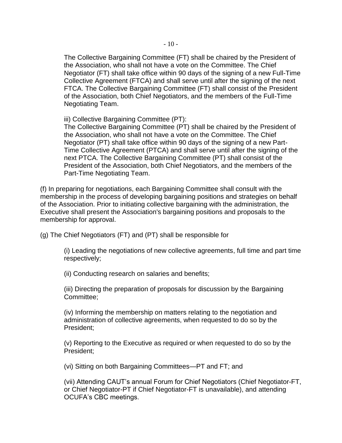The Collective Bargaining Committee (FT) shall be chaired by the President of the Association, who shall not have a vote on the Committee. The Chief Negotiator (FT) shall take office within 90 days of the signing of a new Full-Time Collective Agreement (FTCA) and shall serve until after the signing of the next FTCA. The Collective Bargaining Committee (FT) shall consist of the President of the Association, both Chief Negotiators, and the members of the Full-Time Negotiating Team.

iii) Collective Bargaining Committee (PT):

The Collective Bargaining Committee (PT) shall be chaired by the President of the Association, who shall not have a vote on the Committee. The Chief Negotiator (PT) shall take office within 90 days of the signing of a new Part-Time Collective Agreement (PTCA) and shall serve until after the signing of the next PTCA. The Collective Bargaining Committee (PT) shall consist of the President of the Association, both Chief Negotiators, and the members of the Part-Time Negotiating Team.

(f) In preparing for negotiations, each Bargaining Committee shall consult with the membership in the process of developing bargaining positions and strategies on behalf of the Association. Prior to initiating collective bargaining with the administration, the Executive shall present the Association's bargaining positions and proposals to the membership for approval.

(g) The Chief Negotiators (FT) and (PT) shall be responsible for

(i) Leading the negotiations of new collective agreements, full time and part time respectively;

(ii) Conducting research on salaries and benefits;

(iii) Directing the preparation of proposals for discussion by the Bargaining Committee;

(iv) Informing the membership on matters relating to the negotiation and administration of collective agreements, when requested to do so by the President;

(v) Reporting to the Executive as required or when requested to do so by the President;

(vi) Sitting on both Bargaining Committees—PT and FT; and

(vii) Attending CAUT's annual Forum for Chief Negotiators (Chief Negotiator-FT, or Chief Negotiator-PT if Chief Negotiator-FT is unavailable), and attending OCUFA's CBC meetings.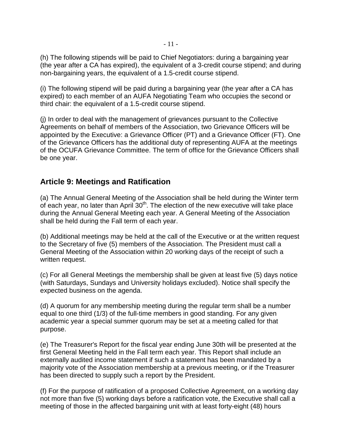(h) The following stipends will be paid to Chief Negotiators: during a bargaining year (the year after a CA has expired), the equivalent of a 3-credit course stipend; and during non-bargaining years, the equivalent of a 1.5-credit course stipend.

(i) The following stipend will be paid during a bargaining year (the year after a CA has expired) to each member of an AUFA Negotiating Team who occupies the second or third chair: the equivalent of a 1.5-credit course stipend.

(j) In order to deal with the management of grievances pursuant to the Collective Agreements on behalf of members of the Association, two Grievance Officers will be appointed by the Executive: a Grievance Officer (PT) and a Grievance Officer (FT). One of the Grievance Officers has the additional duty of representing AUFA at the meetings of the OCUFA Grievance Committee. The term of office for the Grievance Officers shall be one year.

### **Article 9: Meetings and Ratification**

(a) The Annual General Meeting of the Association shall be held during the Winter term of each year, no later than April  $30<sup>th</sup>$ . The election of the new executive will take place during the Annual General Meeting each year. A General Meeting of the Association shall be held during the Fall term of each year.

(b) Additional meetings may be held at the call of the Executive or at the written request to the Secretary of five (5) members of the Association. The President must call a General Meeting of the Association within 20 working days of the receipt of such a written request.

(c) For all General Meetings the membership shall be given at least five (5) days notice (with Saturdays, Sundays and University holidays excluded). Notice shall specify the expected business on the agenda.

(d) A quorum for any membership meeting during the regular term shall be a number equal to one third (1/3) of the full-time members in good standing. For any given academic year a special summer quorum may be set at a meeting called for that purpose.

(e) The Treasurer's Report for the fiscal year ending June 30th will be presented at the first General Meeting held in the Fall term each year. This Report shall include an externally audited income statement if such a statement has been mandated by a majority vote of the Association membership at a previous meeting, or if the Treasurer has been directed to supply such a report by the President.

(f) For the purpose of ratification of a proposed Collective Agreement, on a working day not more than five (5) working days before a ratification vote, the Executive shall call a meeting of those in the affected bargaining unit with at least forty-eight (48) hours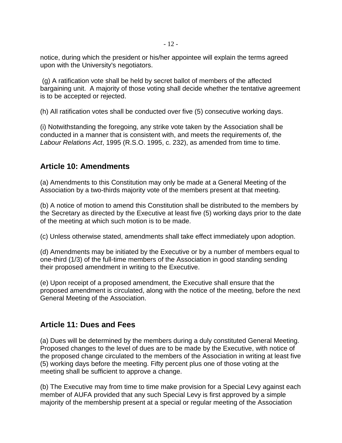notice, during which the president or his/her appointee will explain the terms agreed upon with the University's negotiators.

(g) A ratification vote shall be held by secret ballot of members of the affected bargaining unit. A majority of those voting shall decide whether the tentative agreement is to be accepted or rejected.

(h) All ratification votes shall be conducted over five (5) consecutive working days.

(i) Notwithstanding the foregoing, any strike vote taken by the Association shall be conducted in a manner that is consistent with, and meets the requirements of, the *Labour Relations Act*, 1995 (R.S.O. 1995, c. 232), as amended from time to time.

#### **Article 10: Amendments**

(a) Amendments to this Constitution may only be made at a General Meeting of the Association by a two-thirds majority vote of the members present at that meeting.

(b) A notice of motion to amend this Constitution shall be distributed to the members by the Secretary as directed by the Executive at least five (5) working days prior to the date of the meeting at which such motion is to be made.

(c) Unless otherwise stated, amendments shall take effect immediately upon adoption.

(d) Amendments may be initiated by the Executive or by a number of members equal to one-third (1/3) of the full-time members of the Association in good standing sending their proposed amendment in writing to the Executive.

(e) Upon receipt of a proposed amendment, the Executive shall ensure that the proposed amendment is circulated, along with the notice of the meeting, before the next General Meeting of the Association.

### **Article 11: Dues and Fees**

(a) Dues will be determined by the members during a duly constituted General Meeting. Proposed changes to the level of dues are to be made by the Executive, with notice of the proposed change circulated to the members of the Association in writing at least five (5) working days before the meeting. Fifty percent plus one of those voting at the meeting shall be sufficient to approve a change.

(b) The Executive may from time to time make provision for a Special Levy against each member of AUFA provided that any such Special Levy is first approved by a simple majority of the membership present at a special or regular meeting of the Association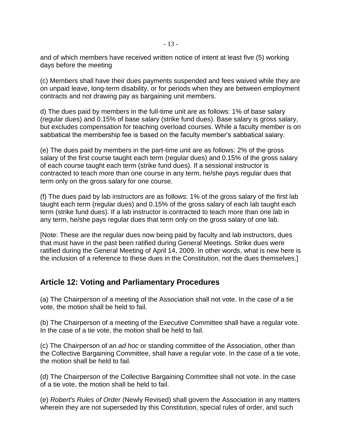and of which members have received written notice of intent at least five (5) working days before the meeting

(c) Members shall have their dues payments suspended and fees waived while they are on unpaid leave, long-term disability, or for periods when they are between employment contracts and not drawing pay as bargaining unit members.

d) The dues paid by members in the full-time unit are as follows: 1% of base salary (regular dues) and 0.15% of base salary (strike fund dues). Base salary is gross salary, but excludes compensation for teaching overload courses. While a faculty member is on sabbatical the membership fee is based on the faculty member's sabbatical salary.

(e) The dues paid by members in the part-time unit are as follows: 2% of the gross salary of the first course taught each term (regular dues) and 0.15% of the gross salary of each course taught each term (strike fund dues). If a sessional instructor is contracted to teach more than one course in any term, he/she pays regular dues that term only on the gross salary for one course.

(f) The dues paid by lab instructors are as follows: 1% of the gross salary of the first lab taught each term (regular dues) and 0.15% of the gross salary of each lab taught each term (strike fund dues). If a lab instructor is contracted to teach more than one lab in any term, he/she pays regular dues that term only on the gross salary of one lab.

[Note: These are the regular dues now being paid by faculty and lab instructors, dues that must have in the past been ratified during General Meetings. Strike dues were ratified during the General Meeting of April 14, 2009. In other words, what is new here is the inclusion of a reference to these dues in the Constitution, not the dues themselves.]

### **Article 12: Voting and Parliamentary Procedures**

(a) The Chairperson of a meeting of the Association shall not vote. In the case of a tie vote, the motion shall be held to fail.

(b) The Chairperson of a meeting of the Executive Committee shall have a regular vote. In the case of a tie vote, the motion shall be held to fail.

(c) The Chairperson of an *ad hoc* or standing committee of the Association, other than the Collective Bargaining Committee, shall have a regular vote. In the case of a tie vote, the motion shall be held to fail.

(d) The Chairperson of the Collective Bargaining Committee shall not vote. In the case of a tie vote, the motion shall be held to fail.

(e) *Robert's Rules of Order* (Newly Revised) shall govern the Association in any matters wherein they are not superseded by this Constitution, special rules of order, and such